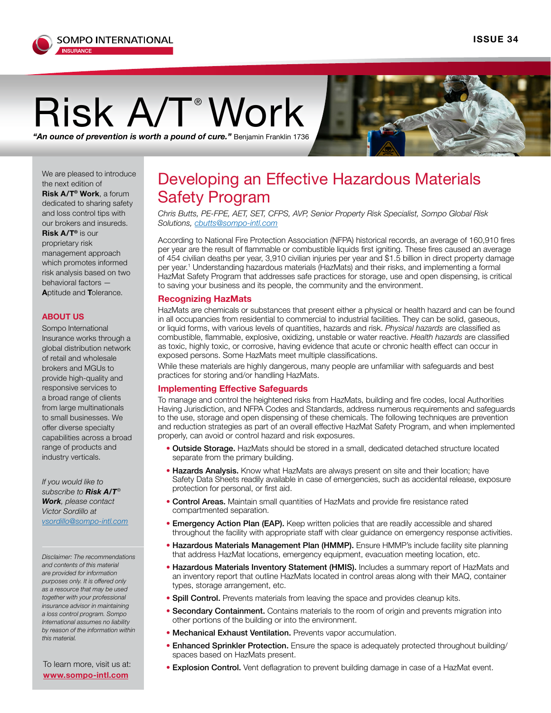

# $\mathsf{Risk}_\mathsf{A/T}$ <sup>®</sup> Work  $\mathsf{Nork}_\mathsf{A}$

*"An ounce of prevention is worth a pound of cure."* Benjamin Franklin 1736

We are pleased to introduce the next edition of **Risk A/T® Work**, a forum dedicated to sharing safety and loss control tips with our brokers and insureds. **Risk A/T®** is our proprietary risk management approach which promotes informed risk analysis based on two behavioral factors —

**A**ptitude and **T**olerance.

### **ABOUT US**

Sompo International Insurance works through a global distribution network of retail and wholesale brokers and MGUs to provide high-quality and responsive services to a broad range of clients from large multinationals to small businesses. We offer diverse specialty capabilities across a broad range of product[s](mailto:irizea%40sompo-intl.com?subject=) and industry verticals.

*If you would like to subscribe to Risk A/T® Work, please contact Victor Sordillo at vsordillo@sompo-intl.com*

*Disclaimer: The recommendations and contents of this material are provided for information purposes only. It is offered only as a resource that may be used together with your professional insurance advisor in maintaining a loss control program. Sompo International assumes no liability by reason of the information within this material.*

**[www.sompo-intl.com](http://www.sompo-intl.com)**

## Developing an Effective Hazardous Materials Safety Program

*Chris Butts, PE-FPE, AET, SET, C[FP](mailto:acameron%40sompo-intl.com%20?subject=)S, AVP, Senior Property Risk Specialist, Sompo Global Risk Solutions, [cbutts@sompo-intl.com](mailto:cbutts%40sompo-intl.com?subject=)*

According to National Fire Protection Association (NFPA) historical records, an average of 160,910 fires per year are the result of flammable or combustible liquids first igniting. These fires caused an average of 454 civilian deaths per year, 3,910 civilian injuries per year and \$1.5 billion in direct property damage per year.<sup>1</sup> Understanding hazardous materials (HazMats) and their risks, and implementing a formal HazMat Safety Program that addresses safe practices for storage, use and open dispensing, is critical to saving your business and its people, the community and the environment.

#### **Recognizing HazMats**

HazMats are chemicals or substances that present either a physical or health hazard and can be found in all occupancies from residential to commercial to industrial facilities. They can be solid, gaseous, or liquid forms, with various levels of quantities, hazards and risk. *Physical hazards* are classified as combustible, flammable, explosive, oxidizing, unstable or water reactive. *Health hazards* are classified as toxic, highly toxic, or corrosive, having evidence that acute or chronic health effect can occur in exposed persons. Some HazMats meet multiple classifications.

While these materials are highly dangerous, many people are unfamiliar with safeguards and best practices for storing and/or handling HazMats.

#### **Implementing Effective Safeguards**

To manage and control the heightened risks from HazMats, building and fire codes, local Authorities Having Jurisdiction, and NFPA Codes and Standards, address numerous requirements and safeguards to the use, storage and open dispensing of these chemicals. The following techniques are prevention and reduction strategies as part of an overall effective HazMat Safety Program, and when implemented properly, can avoid or control hazard and risk exposures.

- Outside Storage. HazMats should be stored in a small, dedicated detached structure located separate from the primary building.
- Hazards Analysis. Know what HazMats are always present on site and their location; have Safety Data Sheets readily available in case of emergencies, such as accidental release, exposure protection for personal, or first aid.
- Control Areas. Maintain small quantities of HazMats and provide fire resistance rated compartmented separation.
- Emergency Action Plan (EAP). Keep written policies that are readily accessible and shared throughout the facility with appropriate staff with clear guidance on emergency response activities.
- Hazardous Materials Management Plan (HMMP). Ensure HMMP's include facility site planning that address HazMat locations, emergency equipment, evacuation meeting location, etc.
- Hazardous Materials Inventory Statement (HMIS). Includes a summary report of HazMats and an inventory report that outline HazMats located in control areas along with their MAQ, container types, storage arrangement, etc.
- **Spill Control.** Prevents materials from leaving the space and provides cleanup kits.
- Secondary Containment. Contains materials to the room of origin and prevents migration into other portions of the building or into the environment.
- Mechanical Exhaust Ventilation. Prevents vapor accumulation.
- Enhanced Sprinkler Protection. Ensure the space is adequately protected throughout building/ spaces based on HazMats present.
- To learn more, visit us at:<br>• Explosion Control. Vent deflagration to prevent building damage in case of a HazMat event.